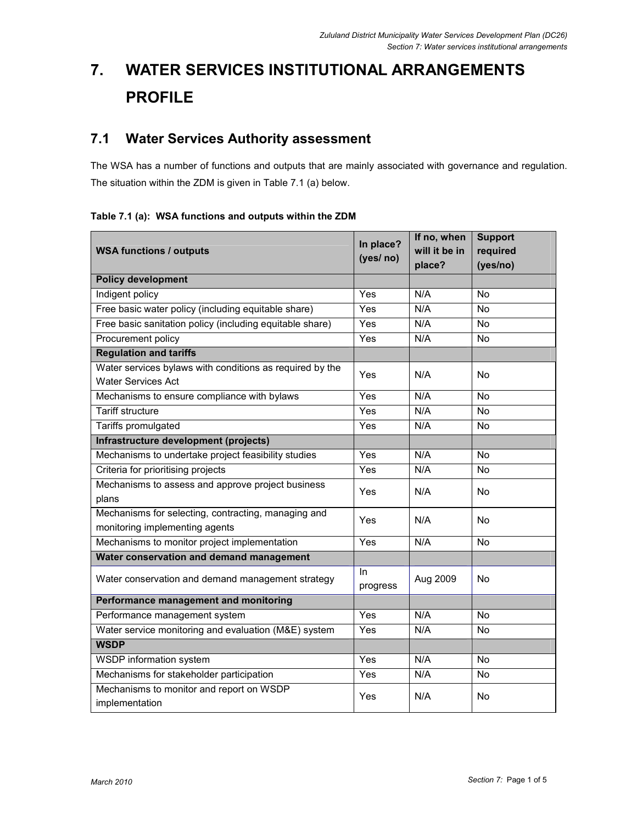# 7. WATER SERVICES INSTITUTIONAL ARRANGEMENTS PROFILE

## 7.1 Water Services Authority assessment

The WSA has a number of functions and outputs that are mainly associated with governance and regulation. The situation within the ZDM is given in Table 7.1 (a) below.

Table 7.1 (a): WSA functions and outputs within the ZDM

| <b>WSA functions / outputs</b>                                                        | In place?<br>(yes/ no) | If no, when<br>will it be in<br>place? | <b>Support</b><br>required<br>(yes/no) |  |
|---------------------------------------------------------------------------------------|------------------------|----------------------------------------|----------------------------------------|--|
| <b>Policy development</b>                                                             |                        |                                        |                                        |  |
| Indigent policy                                                                       | Yes                    | N/A                                    | <b>No</b>                              |  |
| Free basic water policy (including equitable share)                                   | Yes                    | N/A                                    | No                                     |  |
| Free basic sanitation policy (including equitable share)                              | Yes                    | N/A                                    | $\overline{N}$                         |  |
| Procurement policy                                                                    | $\overline{Yes}$       | N/A                                    | No                                     |  |
| <b>Regulation and tariffs</b>                                                         |                        |                                        |                                        |  |
| Water services bylaws with conditions as required by the<br><b>Water Services Act</b> | Yes                    | N/A                                    | <b>No</b>                              |  |
| Mechanisms to ensure compliance with bylaws                                           | Yes                    | N/A                                    | $\overline{N}$                         |  |
| <b>Tariff structure</b>                                                               | Yes                    | N/A                                    | <b>No</b>                              |  |
| Tariffs promulgated                                                                   | Yes                    | N/A                                    | <b>No</b>                              |  |
| Infrastructure development (projects)                                                 |                        |                                        |                                        |  |
| Mechanisms to undertake project feasibility studies                                   | Yes                    | N/A                                    | <b>No</b>                              |  |
| Criteria for prioritising projects                                                    | Yes                    | N/A                                    | No                                     |  |
| Mechanisms to assess and approve project business<br>plans                            | Yes                    | N/A                                    | No                                     |  |
| Mechanisms for selecting, contracting, managing and<br>monitoring implementing agents | Yes                    | N/A                                    | <b>No</b>                              |  |
| Mechanisms to monitor project implementation                                          | Yes                    | N/A                                    | <b>No</b>                              |  |
| Water conservation and demand management                                              |                        |                                        |                                        |  |
| Water conservation and demand management strategy                                     | In.<br>progress        | Aug 2009                               | <b>No</b>                              |  |
| Performance management and monitoring                                                 |                        |                                        |                                        |  |
| Performance management system                                                         | Yes                    | N/A                                    | No                                     |  |
| Water service monitoring and evaluation (M&E) system                                  | Yes                    | N/A                                    | No                                     |  |
| <b>WSDP</b>                                                                           |                        |                                        |                                        |  |
| WSDP information system                                                               | Yes                    | N/A                                    | $\overline{N}$                         |  |
| Mechanisms for stakeholder participation                                              | Yes                    | N/A                                    | No                                     |  |
| Mechanisms to monitor and report on WSDP<br>implementation                            | Yes                    | N/A                                    | No                                     |  |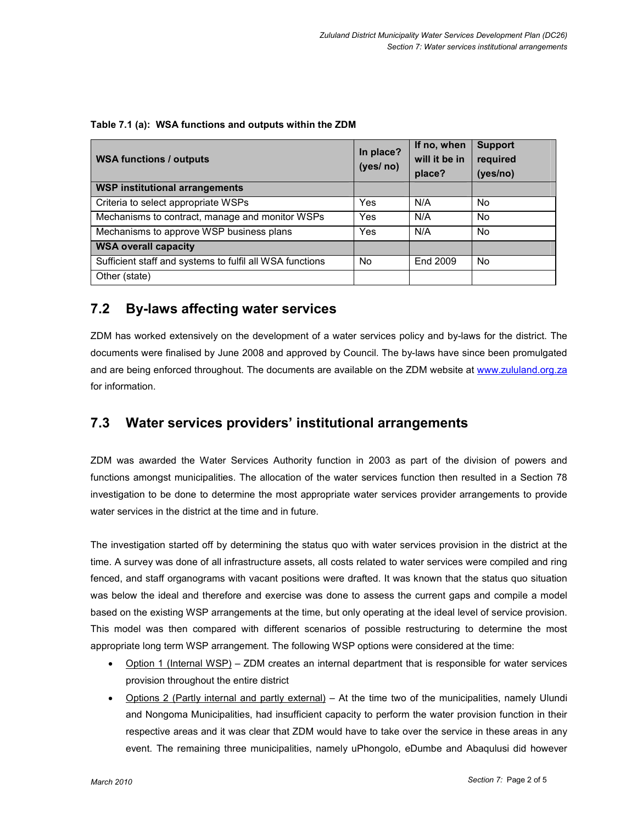| <b>WSA functions / outputs</b>                           | In place?<br>(yes/ no) | If no, when<br>will it be in<br>place? | <b>Support</b><br>required<br>(yes/no) |
|----------------------------------------------------------|------------------------|----------------------------------------|----------------------------------------|
| <b>WSP institutional arrangements</b>                    |                        |                                        |                                        |
| Criteria to select appropriate WSPs                      | Yes                    | N/A                                    | No                                     |
| Mechanisms to contract, manage and monitor WSPs          | Yes                    | N/A                                    | No.                                    |
| Mechanisms to approve WSP business plans                 | Yes                    | N/A                                    | No.                                    |
| <b>WSA overall capacity</b>                              |                        |                                        |                                        |
| Sufficient staff and systems to fulfil all WSA functions | No.                    | End 2009                               | No.                                    |
| Other (state)                                            |                        |                                        |                                        |

| Table 7.1 (a): WSA functions and outputs within the ZDM |  |
|---------------------------------------------------------|--|
|                                                         |  |

### 7.2 By-laws affecting water services

ZDM has worked extensively on the development of a water services policy and by-laws for the district. The documents were finalised by June 2008 and approved by Council. The by-laws have since been promulgated and are being enforced throughout. The documents are available on the ZDM website at www.zululand.org.za for information.

### 7.3 Water services providers' institutional arrangements

ZDM was awarded the Water Services Authority function in 2003 as part of the division of powers and functions amongst municipalities. The allocation of the water services function then resulted in a Section 78 investigation to be done to determine the most appropriate water services provider arrangements to provide water services in the district at the time and in future.

The investigation started off by determining the status quo with water services provision in the district at the time. A survey was done of all infrastructure assets, all costs related to water services were compiled and ring fenced, and staff organograms with vacant positions were drafted. It was known that the status quo situation was below the ideal and therefore and exercise was done to assess the current gaps and compile a model based on the existing WSP arrangements at the time, but only operating at the ideal level of service provision. This model was then compared with different scenarios of possible restructuring to determine the most appropriate long term WSP arrangement. The following WSP options were considered at the time:

- Option 1 (Internal WSP) ZDM creates an internal department that is responsible for water services provision throughout the entire district
- Options 2 (Partly internal and partly external) At the time two of the municipalities, namely Ulundi and Nongoma Municipalities, had insufficient capacity to perform the water provision function in their respective areas and it was clear that ZDM would have to take over the service in these areas in any event. The remaining three municipalities, namely uPhongolo, eDumbe and Abaqulusi did however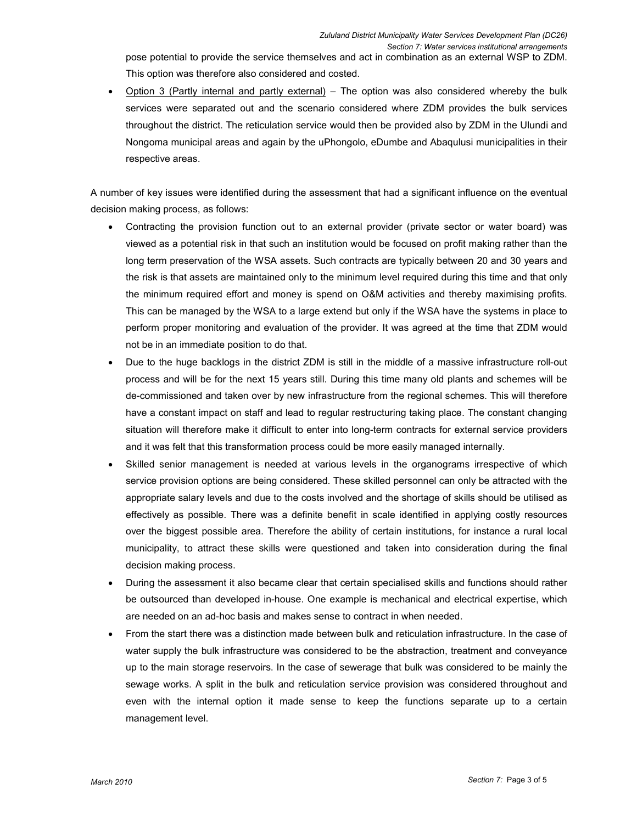pose potential to provide the service themselves and act in combination as an external WSP to ZDM. This option was therefore also considered and costed.

• Option 3 (Partly internal and partly external) – The option was also considered whereby the bulk services were separated out and the scenario considered where ZDM provides the bulk services throughout the district. The reticulation service would then be provided also by ZDM in the Ulundi and Nongoma municipal areas and again by the uPhongolo, eDumbe and Abaqulusi municipalities in their respective areas.

A number of key issues were identified during the assessment that had a significant influence on the eventual decision making process, as follows:

- Contracting the provision function out to an external provider (private sector or water board) was viewed as a potential risk in that such an institution would be focused on profit making rather than the long term preservation of the WSA assets. Such contracts are typically between 20 and 30 years and the risk is that assets are maintained only to the minimum level required during this time and that only the minimum required effort and money is spend on O&M activities and thereby maximising profits. This can be managed by the WSA to a large extend but only if the WSA have the systems in place to perform proper monitoring and evaluation of the provider. It was agreed at the time that ZDM would not be in an immediate position to do that.
- Due to the huge backlogs in the district ZDM is still in the middle of a massive infrastructure roll-out process and will be for the next 15 years still. During this time many old plants and schemes will be de-commissioned and taken over by new infrastructure from the regional schemes. This will therefore have a constant impact on staff and lead to regular restructuring taking place. The constant changing situation will therefore make it difficult to enter into long-term contracts for external service providers and it was felt that this transformation process could be more easily managed internally.
- Skilled senior management is needed at various levels in the organograms irrespective of which service provision options are being considered. These skilled personnel can only be attracted with the appropriate salary levels and due to the costs involved and the shortage of skills should be utilised as effectively as possible. There was a definite benefit in scale identified in applying costly resources over the biggest possible area. Therefore the ability of certain institutions, for instance a rural local municipality, to attract these skills were questioned and taken into consideration during the final decision making process.
- During the assessment it also became clear that certain specialised skills and functions should rather be outsourced than developed in-house. One example is mechanical and electrical expertise, which are needed on an ad-hoc basis and makes sense to contract in when needed.
- From the start there was a distinction made between bulk and reticulation infrastructure. In the case of water supply the bulk infrastructure was considered to be the abstraction, treatment and conveyance up to the main storage reservoirs. In the case of sewerage that bulk was considered to be mainly the sewage works. A split in the bulk and reticulation service provision was considered throughout and even with the internal option it made sense to keep the functions separate up to a certain management level.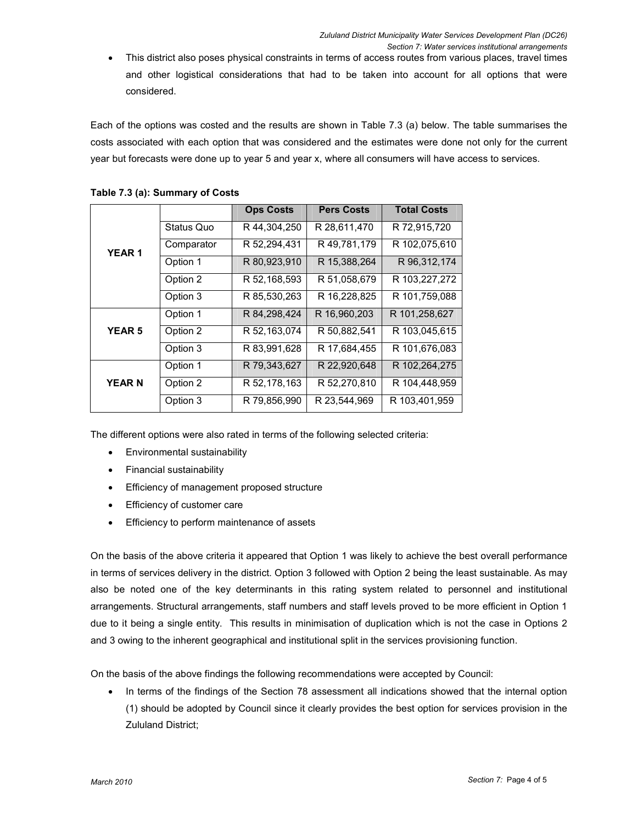• This district also poses physical constraints in terms of access routes from various places, travel times and other logistical considerations that had to be taken into account for all options that were considered.

Each of the options was costed and the results are shown in Table 7.3 (a) below. The table summarises the costs associated with each option that was considered and the estimates were done not only for the current year but forecasts were done up to year 5 and year x, where all consumers will have access to services.

|               |            | <b>Ops Costs</b> | <b>Pers Costs</b> | <b>Total Costs</b> |
|---------------|------------|------------------|-------------------|--------------------|
| <b>YEAR1</b>  | Status Quo | R 44,304,250     | R 28,611,470      | R 72,915,720       |
|               | Comparator | R 52,294,431     | R 49,781,179      | R 102,075,610      |
|               | Option 1   | R 80,923,910     | R 15,388,264      | R 96, 312, 174     |
|               | Option 2   | R 52,168,593     | R 51,058,679      | R 103,227,272      |
|               | Option 3   | R 85,530,263     | R 16,228,825      | R 101,759,088      |
| <b>YEAR 5</b> | Option 1   | R 84, 298, 424   | R 16,960,203      | R 101,258,627      |
|               | Option 2   | R 52,163,074     | R 50.882.541      | R 103.045.615      |
|               | Option 3   | R 83,991,628     | R 17,684,455      | R 101,676,083      |
|               | Option 1   | R 79,343,627     | R 22,920,648      | R 102,264,275      |
| <b>YEAR N</b> | Option 2   | R 52,178,163     | R 52,270,810      | R 104,448,959      |
|               | Option 3   | R 79,856,990     | R 23,544,969      | R 103,401,959      |

#### Table 7.3 (a): Summary of Costs

The different options were also rated in terms of the following selected criteria:

- Environmental sustainability
- Financial sustainability
- Efficiency of management proposed structure
- Efficiency of customer care
- Efficiency to perform maintenance of assets

On the basis of the above criteria it appeared that Option 1 was likely to achieve the best overall performance in terms of services delivery in the district. Option 3 followed with Option 2 being the least sustainable. As may also be noted one of the key determinants in this rating system related to personnel and institutional arrangements. Structural arrangements, staff numbers and staff levels proved to be more efficient in Option 1 due to it being a single entity. This results in minimisation of duplication which is not the case in Options 2 and 3 owing to the inherent geographical and institutional split in the services provisioning function.

On the basis of the above findings the following recommendations were accepted by Council:

• In terms of the findings of the Section 78 assessment all indications showed that the internal option (1) should be adopted by Council since it clearly provides the best option for services provision in the Zululand District;